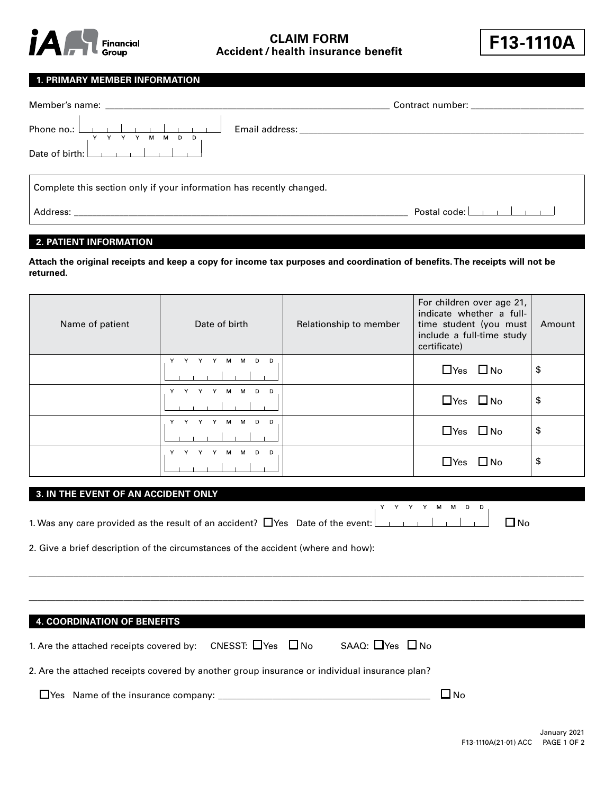

**Accident / health insurance benefit F13-1110A CLAIM FORM**



# **1. PRIMARY MEMBER INFORMATION**

| Y Y Y Y M M D D                                                                                                                                                                                                                |                                                            |
|--------------------------------------------------------------------------------------------------------------------------------------------------------------------------------------------------------------------------------|------------------------------------------------------------|
|                                                                                                                                                                                                                                |                                                            |
| Complete this section only if your information has recently changed.                                                                                                                                                           |                                                            |
| Address: Analysis and the contract of the contract of the contract of the contract of the contract of the contract of the contract of the contract of the contract of the contract of the contract of the contract of the cont | Postal code: $\boxed{\phantom{a} \phantom{a} \phantom{a}}$ |

# **2. PATIENT INFORMATION**

**Attach the original receipts and keep a copy for income tax purposes and coordination of benefits. The receipts will not be returned.**

| Name of patient | Date of birth         | Relationship to member | For children over age 21,<br>indicate whether a full-<br>time student (you must<br>include a full-time study<br>certificate) | Amount |
|-----------------|-----------------------|------------------------|------------------------------------------------------------------------------------------------------------------------------|--------|
|                 | M<br>D<br>D<br>М      |                        | $\Box$ Yes $\Box$ No                                                                                                         | \$     |
|                 | D<br>Y<br>M<br>D<br>M |                        | $\Box$ Yes $\Box$ No                                                                                                         | \$     |
|                 | D<br>м<br>м<br>D      |                        | $\Box$ Yes $\Box$ No                                                                                                         | \$     |
|                 | D<br>м<br>м<br>D      |                        | $\Box$ Yes $\Box$ No                                                                                                         | \$     |

## **3. IN THE EVENT OF AN ACCIDENT ONLY**

|                                                                                                                                          |  |  |  | YYYYMMDD |  |  |
|------------------------------------------------------------------------------------------------------------------------------------------|--|--|--|----------|--|--|
| 1. Was any care provided as the result of an accident? $\Box$ Yes Date of the event: $\Box$ $\Box$ $\Box$ $\Box$ $\Box$ $\Box$ $\Box$ No |  |  |  |          |  |  |

2. Give a brief description of the circumstances of the accident (where and how):

| <b>4. COORDINATION OF BENEFITS</b>                                                            |                              |                            |                             |
|-----------------------------------------------------------------------------------------------|------------------------------|----------------------------|-----------------------------|
| 1. Are the attached receipts covered by:                                                      | CNESST: $\Box$ Yes $\Box$ No | SAAQ: $\Box$ Yes $\Box$ No |                             |
| 2. Are the attached receipts covered by another group insurance or individual insurance plan? |                              |                            |                             |
| Thes Name of the insurance company: The manuscription of the insurance company:               |                              |                            | $\overline{\phantom{a}}$ No |

 $\hspace{0.5cm}$  , and the set of the set of the set of the set of the set of the set of the set of the set of the set of the set of the set of the set of the set of the set of the set of the set of the set of the set of the s